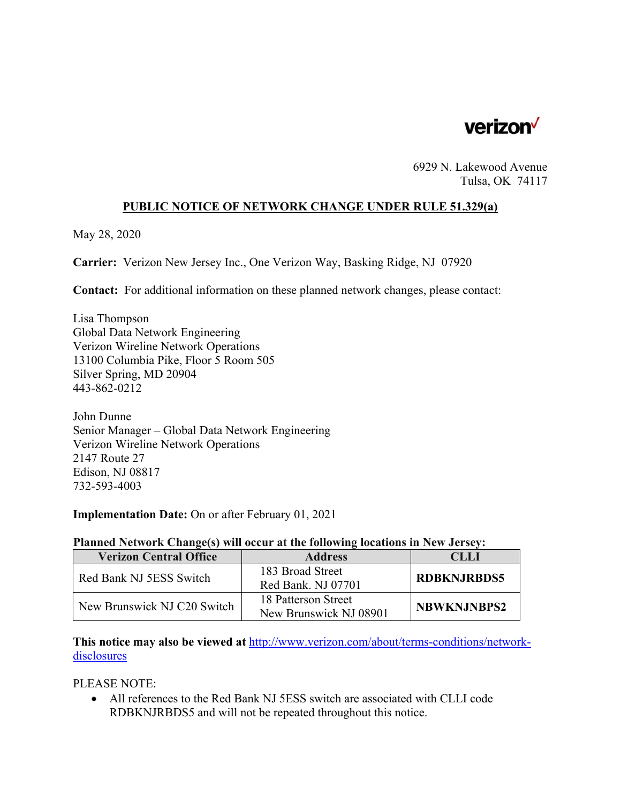

6929 N. Lakewood Avenue Tulsa, OK 74117

### **PUBLIC NOTICE OF NETWORK CHANGE UNDER RULE 51.329(a)**

May 28, 2020

**Carrier:** Verizon New Jersey Inc., One Verizon Way, Basking Ridge, NJ 07920

**Contact:** For additional information on these planned network changes, please contact:

Lisa Thompson Global Data Network Engineering Verizon Wireline Network Operations 13100 Columbia Pike, Floor 5 Room 505 Silver Spring, MD 20904 443-862-0212

John Dunne Senior Manager – Global Data Network Engineering Verizon Wireline Network Operations 2147 Route 27 Edison, NJ 08817 732-593-4003

### **Implementation Date:** On or after February 01, 2021

#### **Planned Network Change(s) will occur at the following locations in New Jersey:**

| <b>Verizon Central Office</b> | <b>Address</b>         | CLLI               |
|-------------------------------|------------------------|--------------------|
| Red Bank NJ 5ESS Switch       | 183 Broad Street       | <b>RDBKNJRBDS5</b> |
|                               | Red Bank. NJ 07701     |                    |
| New Brunswick NJ C20 Switch   | 18 Patterson Street    | <b>NBWKNJNBPS2</b> |
|                               | New Brunswick NJ 08901 |                    |

**This notice may also be viewed at** http://www.verizon.com/about/terms-conditions/networkdisclosures

PLEASE NOTE:

 All references to the Red Bank NJ 5ESS switch are associated with CLLI code RDBKNJRBDS5 and will not be repeated throughout this notice.